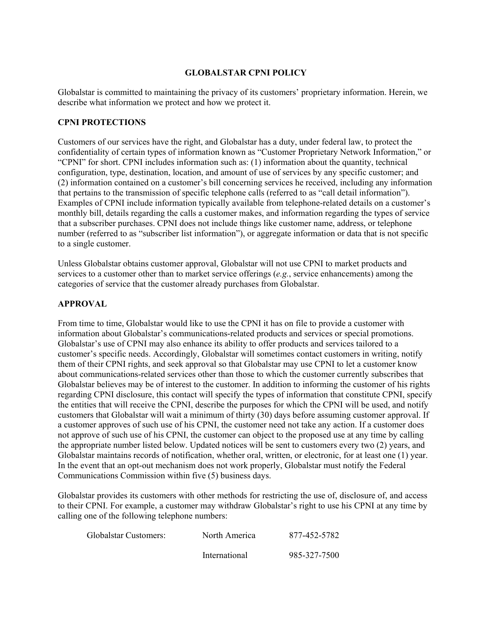# **GLOBALSTAR CPNI POLICY**

Globalstar is committed to maintaining the privacy of its customers' proprietary information. Herein, we describe what information we protect and how we protect it.

#### **CPNI PROTECTIONS**

Customers of our services have the right, and Globalstar has a duty, under federal law, to protect the confidentiality of certain types of information known as "Customer Proprietary Network Information," or "CPNI" for short. CPNI includes information such as: (1) information about the quantity, technical configuration, type, destination, location, and amount of use of services by any specific customer; and (2) information contained on a customer's bill concerning services he received, including any information that pertains to the transmission of specific telephone calls (referred to as "call detail information"). Examples of CPNI include information typically available from telephone-related details on a customer's monthly bill, details regarding the calls a customer makes, and information regarding the types of service that a subscriber purchases. CPNI does not include things like customer name, address, or telephone number (referred to as "subscriber list information"), or aggregate information or data that is not specific to a single customer.

Unless Globalstar obtains customer approval, Globalstar will not use CPNI to market products and services to a customer other than to market service offerings (*e.g.*, service enhancements) among the categories of service that the customer already purchases from Globalstar.

## **APPROVAL**

From time to time, Globalstar would like to use the CPNI it has on file to provide a customer with information about Globalstar's communications-related products and services or special promotions. Globalstar's use of CPNI may also enhance its ability to offer products and services tailored to a customer's specific needs. Accordingly, Globalstar will sometimes contact customers in writing, notify them of their CPNI rights, and seek approval so that Globalstar may use CPNI to let a customer know about communications-related services other than those to which the customer currently subscribes that Globalstar believes may be of interest to the customer. In addition to informing the customer of his rights regarding CPNI disclosure, this contact will specify the types of information that constitute CPNI, specify the entities that will receive the CPNI, describe the purposes for which the CPNI will be used, and notify customers that Globalstar will wait a minimum of thirty (30) days before assuming customer approval. If a customer approves of such use of his CPNI, the customer need not take any action. If a customer does not approve of such use of his CPNI, the customer can object to the proposed use at any time by calling the appropriate number listed below. Updated notices will be sent to customers every two (2) years, and Globalstar maintains records of notification, whether oral, written, or electronic, for at least one (1) year. In the event that an opt-out mechanism does not work properly, Globalstar must notify the Federal Communications Commission within five (5) business days.

Globalstar provides its customers with other methods for restricting the use of, disclosure of, and access to their CPNI. For example, a customer may withdraw Globalstar's right to use his CPNI at any time by calling one of the following telephone numbers:

| Globalstar Customers: | North America | 877-452-5782 |
|-----------------------|---------------|--------------|
|                       | International | 985-327-7500 |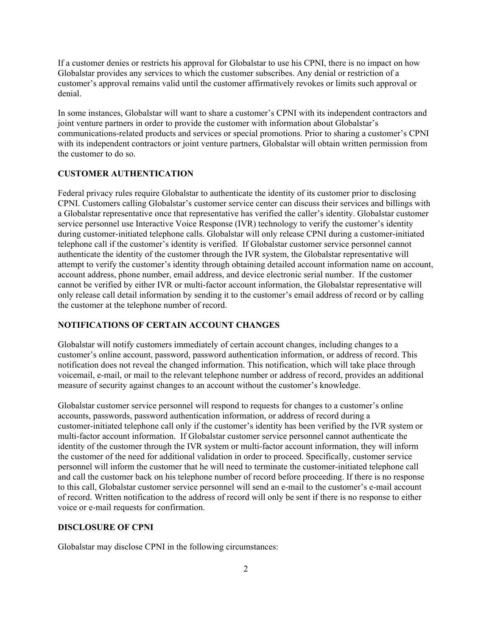If a customer denies or restricts his approval for Globalstar to use his CPNI, there is no impact on how Globalstar provides any services to which the customer subscribes. Any denial or restriction of a customer's approval remains valid until the customer affirmatively revokes or limits such approval or denial.

In some instances, Globalstar will want to share a customer's CPNI with its independent contractors and joint venture partners in order to provide the customer with information about Globalstar's communications-related products and services or special promotions. Prior to sharing a customer's CPNI with its independent contractors or joint venture partners, Globalstar will obtain written permission from the customer to do so.

#### **CUSTOMER AUTHENTICATION**

Federal privacy rules require Globalstar to authenticate the identity of its customer prior to disclosing CPNI. Customers calling Globalstar's customer service center can discuss their services and billings with a Globalstar representative once that representative has verified the caller's identity. Globalstar customer service personnel use Interactive Voice Response (IVR) technology to verify the customer's identity during customer-initiated telephone calls. Globalstar will only release CPNI during a customer-initiated telephone call if the customer's identity is verified. If Globalstar customer service personnel cannot authenticate the identity of the customer through the IVR system, the Globalstar representative will attempt to verify the customer's identity through obtaining detailed account information name on account, account address, phone number, email address, and device electronic serial number. If the customer cannot be verified by either IVR or multi-factor account information, the Globalstar representative will only release call detail information by sending it to the customer's email address of record or by calling the customer at the telephone number of record.

#### **NOTIFICATIONS OF CERTAIN ACCOUNT CHANGES**

Globalstar will notify customers immediately of certain account changes, including changes to a customer's online account, password, password authentication information, or address of record. This notification does not reveal the changed information. This notification, which will take place through voicemail, e-mail, or mail to the relevant telephone number or address of record, provides an additional measure of security against changes to an account without the customer's knowledge.

Globalstar customer service personnel will respond to requests for changes to a customer's online accounts, passwords, password authentication information, or address of record during a customer-initiated telephone call only if the customer's identity has been verified by the IVR system or multi-factor account information. If Globalstar customer service personnel cannot authenticate the identity of the customer through the IVR system or multi-factor account information, they will inform the customer of the need for additional validation in order to proceed. Specifically, customer service personnel will inform the customer that he will need to terminate the customer-initiated telephone call and call the customer back on his telephone number of record before proceeding. If there is no response to this call, Globalstar customer service personnel will send an e-mail to the customer's e-mail account of record. Written notification to the address of record will only be sent if there is no response to either voice or e-mail requests for confirmation.

#### **DISCLOSURE OF CPNI**

Globalstar may disclose CPNI in the following circumstances: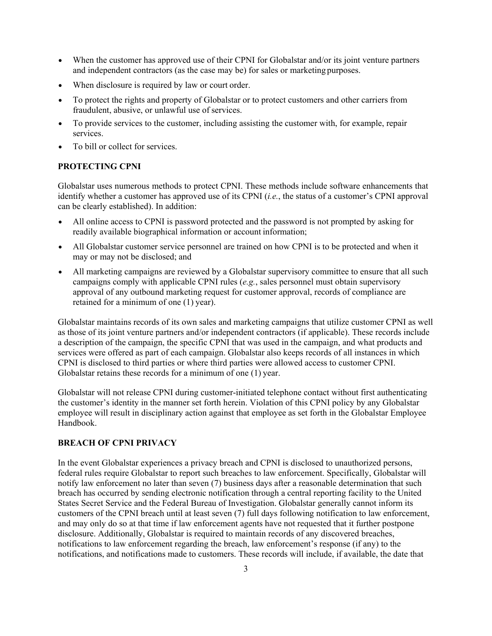- When the customer has approved use of their CPNI for Globalstar and/or its joint venture partners and independent contractors (as the case may be) for sales or marketing purposes.
- When disclosure is required by law or court order.
- To protect the rights and property of Globalstar or to protect customers and other carriers from fraudulent, abusive, or unlawful use of services.
- To provide services to the customer, including assisting the customer with, for example, repair services.
- To bill or collect for services.

#### **PROTECTING CPNI**

Globalstar uses numerous methods to protect CPNI. These methods include software enhancements that identify whether a customer has approved use of its CPNI (*i.e.*, the status of a customer's CPNI approval can be clearly established). In addition:

- All online access to CPNI is password protected and the password is not prompted by asking for readily available biographical information or account information;
- All Globalstar customer service personnel are trained on how CPNI is to be protected and when it may or may not be disclosed; and
- All marketing campaigns are reviewed by a Globalstar supervisory committee to ensure that all such campaigns comply with applicable CPNI rules (*e.g.*, sales personnel must obtain supervisory approval of any outbound marketing request for customer approval, records of compliance are retained for a minimum of one (1) year).

Globalstar maintains records of its own sales and marketing campaigns that utilize customer CPNI as well as those of its joint venture partners and/or independent contractors (if applicable). These records include a description of the campaign, the specific CPNI that was used in the campaign, and what products and services were offered as part of each campaign. Globalstar also keeps records of all instances in which CPNI is disclosed to third parties or where third parties were allowed access to customer CPNI. Globalstar retains these records for a minimum of one (1) year.

Globalstar will not release CPNI during customer-initiated telephone contact without first authenticating the customer's identity in the manner set forth herein. Violation of this CPNI policy by any Globalstar employee will result in disciplinary action against that employee as set forth in the Globalstar Employee Handbook.

## **BREACH OF CPNI PRIVACY**

In the event Globalstar experiences a privacy breach and CPNI is disclosed to unauthorized persons, federal rules require Globalstar to report such breaches to law enforcement. Specifically, Globalstar will notify law enforcement no later than seven (7) business days after a reasonable determination that such breach has occurred by sending electronic notification through a central reporting facility to the United States Secret Service and the Federal Bureau of Investigation. Globalstar generally cannot inform its customers of the CPNI breach until at least seven (7) full days following notification to law enforcement, and may only do so at that time if law enforcement agents have not requested that it further postpone disclosure. Additionally, Globalstar is required to maintain records of any discovered breaches, notifications to law enforcement regarding the breach, law enforcement's response (if any) to the notifications, and notifications made to customers. These records will include, if available, the date that